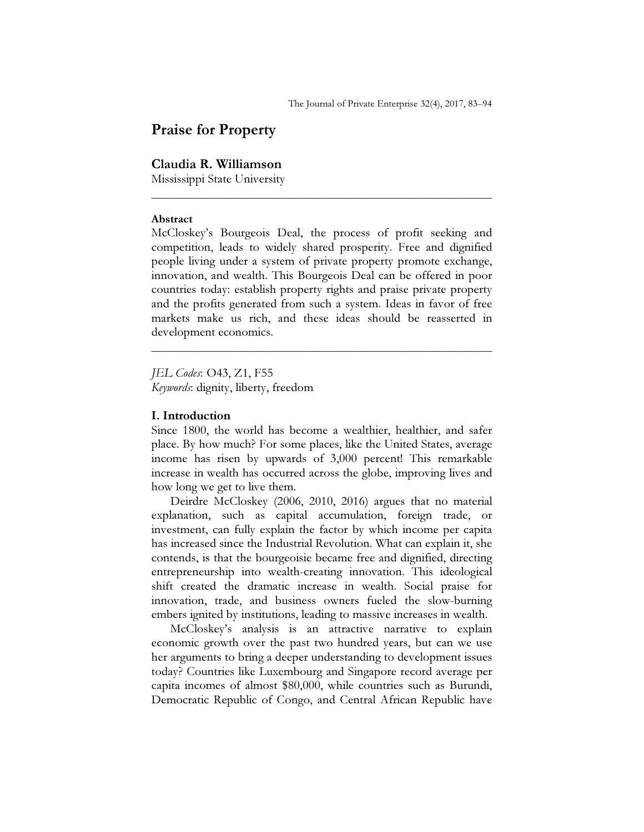# Praise for Property

## Claudia R. Williamson

Mississippi State University

#### Abstract

McCloskey's Bourgeois Deal, the process of profit seeking and competition, leads to widely shared prosperity. Free and dignified people living under a system of private property promote exchange, innovation, and wealth. This Bourgeois Deal can be offered in poor countries today: establish property rights and praise private property and the profits generated from such a system. Ideas in favor of free markets make us rich, and these ideas should be reasserted in development economics.

\_\_\_\_\_\_\_\_\_\_\_\_\_\_\_\_\_\_\_\_\_\_\_\_\_\_\_\_\_\_\_\_\_\_\_\_\_\_\_\_\_\_\_\_\_\_\_\_\_\_\_\_\_\_

\_\_\_\_\_\_\_\_\_\_\_\_\_\_\_\_\_\_\_\_\_\_\_\_\_\_\_\_\_\_\_\_\_\_\_\_\_\_\_\_\_\_\_\_\_\_\_\_\_\_\_\_\_\_

JEL Codes: O43, Z1, F55 Keywords: dignity, liberty, freedom

## I. Introduction

Since 1800, the world has become a wealthier, healthier, and safer place. By how much? For some places, like the United States, average income has risen by upwards of 3,000 percent! This remarkable increase in wealth has occurred across the globe, improving lives and how long we get to live them.

Deirdre McCloskey (2006, 2010, 2016) argues that no material explanation, such as capital accumulation, foreign trade, or investment, can fully explain the factor by which income per capita has increased since the Industrial Revolution. What can explain it, she contends, is that the bourgeoisie became free and dignified, directing entrepreneurship into wealth-creating innovation. This ideological shift created the dramatic increase in wealth. Social praise for innovation, trade, and business owners fueled the slow-burning embers ignited by institutions, leading to massive increases in wealth.

McCloskey's analysis is an attractive narrative to explain economic growth over the past two hundred years, but can we use her arguments to bring a deeper understanding to development issues today? Countries like Luxembourg and Singapore record average per capita incomes of almost \$80,000, while countries such as Burundi, Democratic Republic of Congo, and Central African Republic have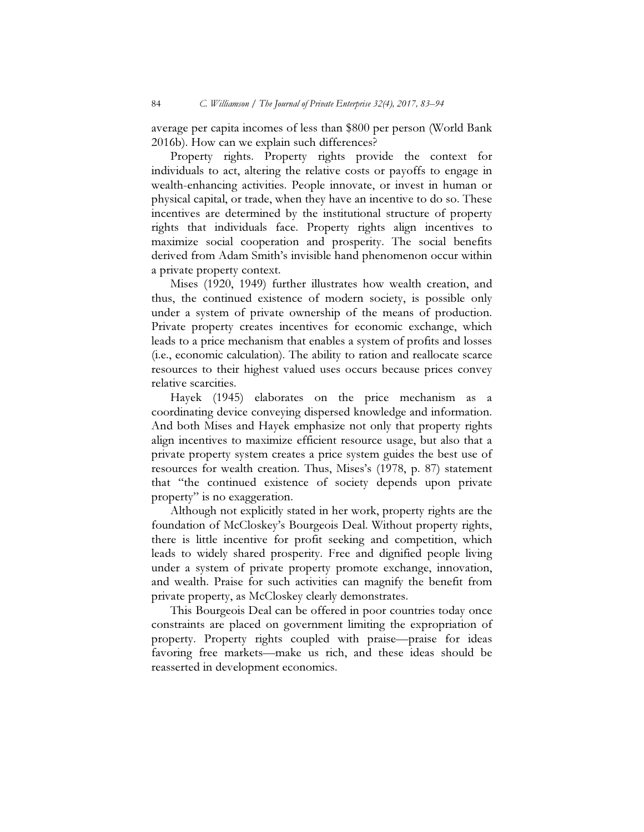average per capita incomes of less than \$800 per person (World Bank 2016b). How can we explain such differences?

Property rights. Property rights provide the context for individuals to act, altering the relative costs or payoffs to engage in wealth-enhancing activities. People innovate, or invest in human or physical capital, or trade, when they have an incentive to do so. These incentives are determined by the institutional structure of property rights that individuals face. Property rights align incentives to maximize social cooperation and prosperity. The social benefits derived from Adam Smith's invisible hand phenomenon occur within a private property context.

Mises (1920, 1949) further illustrates how wealth creation, and thus, the continued existence of modern society, is possible only under a system of private ownership of the means of production. Private property creates incentives for economic exchange, which leads to a price mechanism that enables a system of profits and losses (i.e., economic calculation). The ability to ration and reallocate scarce resources to their highest valued uses occurs because prices convey relative scarcities.

Hayek (1945) elaborates on the price mechanism as a coordinating device conveying dispersed knowledge and information. And both Mises and Hayek emphasize not only that property rights align incentives to maximize efficient resource usage, but also that a private property system creates a price system guides the best use of resources for wealth creation. Thus, Mises's (1978, p. 87) statement that "the continued existence of society depends upon private property" is no exaggeration.

Although not explicitly stated in her work, property rights are the foundation of McCloskey's Bourgeois Deal. Without property rights, there is little incentive for profit seeking and competition, which leads to widely shared prosperity. Free and dignified people living under a system of private property promote exchange, innovation, and wealth. Praise for such activities can magnify the benefit from private property, as McCloskey clearly demonstrates.

This Bourgeois Deal can be offered in poor countries today once constraints are placed on government limiting the expropriation of property. Property rights coupled with praise—praise for ideas favoring free markets—make us rich, and these ideas should be reasserted in development economics.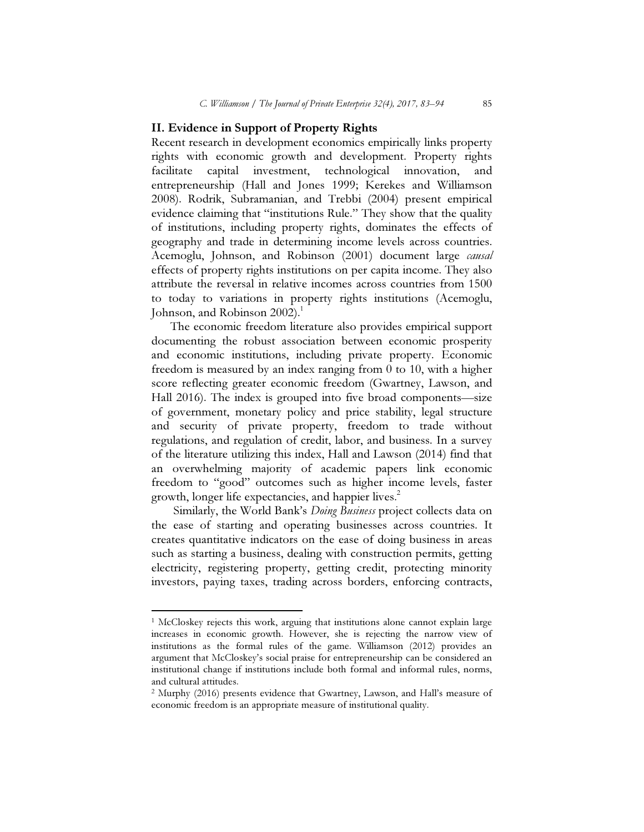### II. Evidence in Support of Property Rights

Recent research in development economics empirically links property rights with economic growth and development. Property rights facilitate capital investment, technological innovation, and entrepreneurship (Hall and Jones 1999; Kerekes and Williamson 2008). Rodrik, Subramanian, and Trebbi (2004) present empirical evidence claiming that "institutions Rule." They show that the quality of institutions, including property rights, dominates the effects of geography and trade in determining income levels across countries. Acemoglu, Johnson, and Robinson (2001) document large *causal* effects of property rights institutions on per capita income. They also attribute the reversal in relative incomes across countries from 1500 to today to variations in property rights institutions (Acemoglu, Johnson, and Robinson  $2002$ <sup>1</sup>.

The economic freedom literature also provides empirical support documenting the robust association between economic prosperity and economic institutions, including private property. Economic freedom is measured by an index ranging from  $\overline{0}$  to 10, with a higher score reflecting greater economic freedom (Gwartney, Lawson, and Hall 2016). The index is grouped into five broad components—size of government, monetary policy and price stability, legal structure and security of private property, freedom to trade without regulations, and regulation of credit, labor, and business. In a survey of the literature utilizing this index, Hall and Lawson (2014) find that an overwhelming majority of academic papers link economic freedom to "good" outcomes such as higher income levels, faster growth, longer life expectancies, and happier lives.<sup>2</sup>

Similarly, the World Bank's *Doing Business* project collects data on the ease of starting and operating businesses across countries. It creates quantitative indicators on the ease of doing business in areas such as starting a business, dealing with construction permits, getting electricity, registering property, getting credit, protecting minority investors, paying taxes, trading across borders, enforcing contracts,

 $\overline{a}$ 

<sup>&</sup>lt;sup>1</sup> McCloskey rejects this work, arguing that institutions alone cannot explain large increases in economic growth. However, she is rejecting the narrow view of institutions as the formal rules of the game. Williamson (2012) provides an argument that McCloskey's social praise for entrepreneurship can be considered an institutional change if institutions include both formal and informal rules, norms, and cultural attitudes.

<sup>2</sup> Murphy (2016) presents evidence that Gwartney, Lawson, and Hall's measure of economic freedom is an appropriate measure of institutional quality.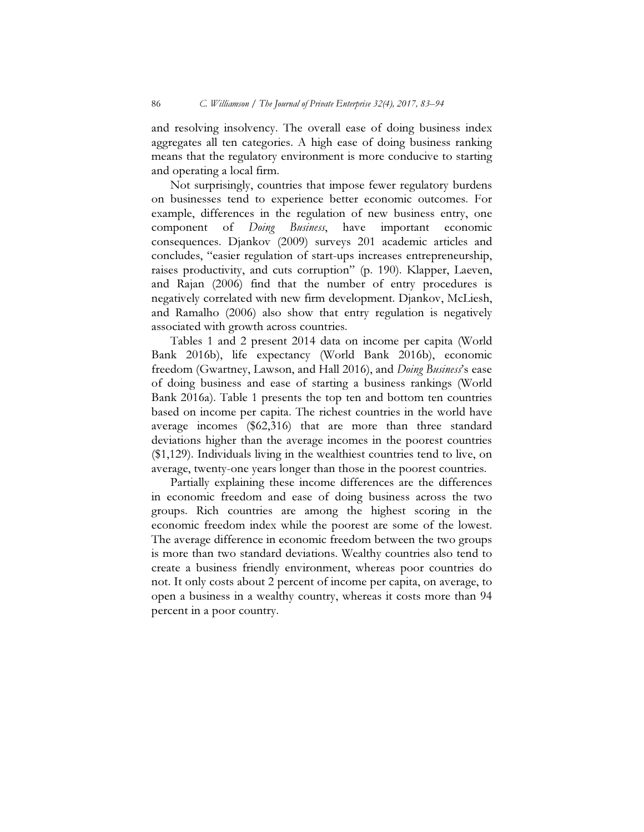and resolving insolvency. The overall ease of doing business index aggregates all ten categories. A high ease of doing business ranking means that the regulatory environment is more conducive to starting and operating a local firm.

Not surprisingly, countries that impose fewer regulatory burdens on businesses tend to experience better economic outcomes. For example, differences in the regulation of new business entry, one component of *Doing Business*, have important economic component of Doing Business, have important economic consequences. Djankov (2009) surveys 201 academic articles and concludes, "easier regulation of start-ups increases entrepreneurship, raises productivity, and cuts corruption" (p. 190). Klapper, Laeven, and Rajan (2006) find that the number of entry procedures is negatively correlated with new firm development. Djankov, McLiesh, and Ramalho (2006) also show that entry regulation is negatively associated with growth across countries.

Tables 1 and 2 present 2014 data on income per capita (World Bank 2016b), life expectancy (World Bank 2016b), economic freedom (Gwartney, Lawson, and Hall 2016), and Doing Business's ease of doing business and ease of starting a business rankings (World Bank 2016a). Table 1 presents the top ten and bottom ten countries based on income per capita. The richest countries in the world have average incomes (\$62,316) that are more than three standard deviations higher than the average incomes in the poorest countries (\$1,129). Individuals living in the wealthiest countries tend to live, on average, twenty-one years longer than those in the poorest countries.

Partially explaining these income differences are the differences in economic freedom and ease of doing business across the two groups. Rich countries are among the highest scoring in the economic freedom index while the poorest are some of the lowest. The average difference in economic freedom between the two groups is more than two standard deviations. Wealthy countries also tend to create a business friendly environment, whereas poor countries do not. It only costs about 2 percent of income per capita, on average, to open a business in a wealthy country, whereas it costs more than 94 percent in a poor country.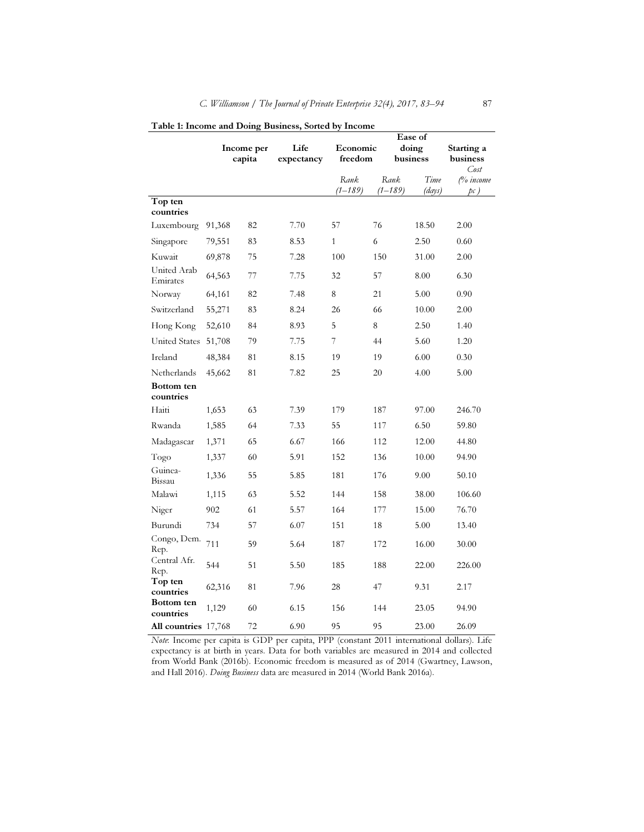|                         | Life<br>Income per<br>capita |    |            |                     |                 | Ease of           |                        |
|-------------------------|------------------------------|----|------------|---------------------|-----------------|-------------------|------------------------|
|                         |                              |    | expectancy | Economic<br>freedom |                 | doing<br>business | Starting a<br>business |
|                         |                              |    |            |                     |                 |                   | Cost                   |
|                         |                              |    |            | Rank<br>(1–189)     | Rank<br>(1–189) | Time<br>(days)    | (% income<br>pc)       |
| Top ten                 |                              |    |            |                     |                 |                   |                        |
| countries               |                              |    |            |                     |                 |                   |                        |
| Luxembourg              | 91,368                       | 82 | 7.70       | 57                  | 76              | 18.50             | 2.00                   |
| Singapore               | 79,551                       | 83 | 8.53       | $\mathbf{1}$        | 6               | 2.50              | 0.60                   |
| Kuwait                  | 69,878                       | 75 | 7.28       | 100                 | 150             | 31.00             | 2.00                   |
| United Arab<br>Emirates | 64,563                       | 77 | 7.75       | 32                  | 57              | 8.00              | 6.30                   |
| Norway                  | 64,161                       | 82 | 7.48       | 8                   | 21              | 5.00              | 0.90                   |
| Switzerland             | 55,271                       | 83 | 8.24       | 26                  | 66              | 10.00             | 2.00                   |
| Hong Kong               | 52,610                       | 84 | 8.93       | 5                   | 8               | 2.50              | 1.40                   |
| <b>United States</b>    | 51,708                       | 79 | 7.75       | 7                   | 44              | 5.60              | 1.20                   |
| Ireland                 | 48,384                       | 81 | 8.15       | 19                  | 19              | 6.00              | 0.30                   |
| Netherlands             | 45,662                       | 81 | 7.82       | 25                  | 20              | 4.00              | 5.00                   |
| Bottom ten<br>countries |                              |    |            |                     |                 |                   |                        |
| Haiti                   | 1,653                        | 63 | 7.39       | 179                 | 187             | 97.00             | 246.70                 |
| Rwanda                  | 1,585                        | 64 | 7.33       | 55                  | 117             | 6.50              | 59.80                  |
| Madagascar              | 1,371                        | 65 | 6.67       | 166                 | 112             | 12.00             | 44.80                  |
| Togo                    | 1,337                        | 60 | 5.91       | 152                 | 136             | 10.00             | 94.90                  |
| Guinea-<br>Bissau       | 1,336                        | 55 | 5.85       | 181                 | 176             | 9.00              | 50.10                  |
| Malawi                  | 1,115                        | 63 | 5.52       | 144                 | 158             | 38.00             | 106.60                 |
| Niger                   | 902                          | 61 | 5.57       | 164                 | 177             | 15.00             | 76.70                  |
| Burundi                 | 734                          | 57 | 6.07       | 151                 | 18              | 5.00              | 13.40                  |
| Congo, Dem.<br>Rep.     | 711                          | 59 | 5.64       | 187                 | 172             | 16.00             | 30.00                  |
| Central Afr.<br>Rep.    | 544                          | 51 | 5.50       | 185                 | 188             | 22.00             | 226.00                 |
| Top ten<br>countries    | 62,316                       | 81 | 7.96       | 28                  | 47              | 9.31              | 2.17                   |
| Bottom ten<br>countries | 1,129                        | 60 | 6.15       | 156                 | 144             | 23.05             | 94.90                  |
| All countries 17,768    |                              | 72 | 6.90       | 95                  | 95              | 23.00             | 26.09                  |

#### Table 1: Income and Doing Business, Sorted by Income

Note: Income per capita is GDP per capita, PPP (constant 2011 international dollars). Life expectancy is at birth in years. Data for both variables are measured in 2014 and collected from World Bank (2016b). Economic freedom is measured as of 2014 (Gwartney, Lawson, and Hall 2016). Doing Business data are measured in 2014 (World Bank 2016a).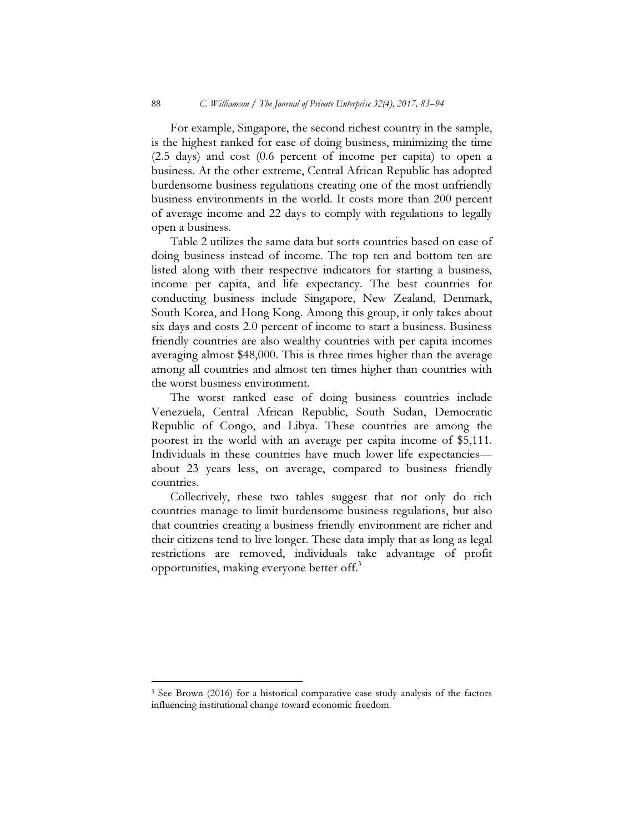For example, Singapore, the second richest country in the sample, is the highest ranked for ease of doing business, minimizing the time (2.5 days) and cost (0.6 percent of income per capita) to open a business. At the other extreme, Central African Republic has adopted burdensome business regulations creating one of the most unfriendly business environments in the world. It costs more than 200 percent of average income and 22 days to comply with regulations to legally open a business.

Table 2 utilizes the same data but sorts countries based on ease of doing business instead of income. The top ten and bottom ten are listed along with their respective indicators for starting a business, income per capita, and life expectancy. The best countries for conducting business include Singapore, New Zealand, Denmark, South Korea, and Hong Kong. Among this group, it only takes about six days and costs 2.0 percent of income to start a business. Business friendly countries are also wealthy countries with per capita incomes averaging almost \$48,000. This is three times higher than the average among all countries and almost ten times higher than countries with the worst business environment.

The worst ranked ease of doing business countries include Venezuela, Central African Republic, South Sudan, Democratic Republic of Congo, and Libya. These countries are among the poorest in the world with an average per capita income of \$5,111. Individuals in these countries have much lower life expectancies about 23 years less, on average, compared to business friendly countries.

Collectively, these two tables suggest that not only do rich countries manage to limit burdensome business regulations, but also that countries creating a business friendly environment are richer and their citizens tend to live longer. These data imply that as long as legal restrictions are removed, individuals take advantage of profit opportunities, making everyone better off.<sup>3</sup>

 $\overline{a}$ 

<sup>&</sup>lt;sup>3</sup> See Brown (2016) for a historical comparative case study analysis of the factors influencing institutional change toward economic freedom.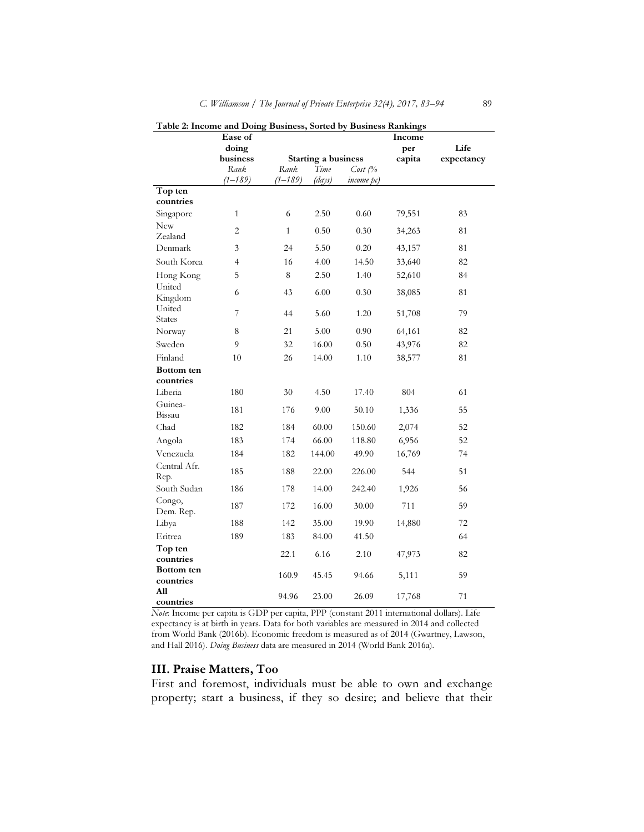|                         | Ease of                                | $\overline{\phantom{a}}$ |        |                        | $\cdots$<br>Income |      |
|-------------------------|----------------------------------------|--------------------------|--------|------------------------|--------------------|------|
|                         | doing                                  |                          |        |                        | per                | Life |
|                         | business<br><b>Starting a business</b> |                          | capita | expectancy             |                    |      |
|                         | Rank                                   | Rank                     | Time   | $Cost \, \mathcal{O}'$ |                    |      |
|                         | $(1 - 189)$                            | $(1 - 189)$              | (days) | <i>income</i> pc)      |                    |      |
| Top ten                 |                                        |                          |        |                        |                    |      |
| countries               |                                        |                          |        |                        |                    |      |
| Singapore               | $\mathbf{1}$                           | 6                        | 2.50   | 0.60                   | 79,551             | 83   |
| <b>New</b>              | $\overline{c}$                         | $\mathbf{1}$             | 0.50   | 0.30                   | 34,263             | 81   |
| Zealand                 |                                        |                          |        |                        |                    |      |
| Denmark                 | 3                                      | 24                       | 5.50   | 0.20                   | 43,157             | 81   |
| South Korea             | $\overline{4}$                         | 16                       | 4.00   | 14.50                  | 33,640             | 82   |
| Hong Kong               | 5                                      | 8                        | 2.50   | 1.40                   | 52,610             | 84   |
| United<br>Kingdom       | 6                                      | 43                       | 6.00   | 0.30                   | 38,085             | 81   |
| United<br><b>States</b> | 7                                      | 44                       | 5.60   | 1.20                   | 51,708             | 79   |
| Norway                  | 8                                      | 21                       | 5.00   | 0.90                   | 64,161             | 82   |
| Sweden                  | 9                                      | 32                       | 16.00  | 0.50                   | 43,976             | 82   |
| Finland                 | 10                                     | 26                       | 14.00  | 1.10                   | 38,577             | 81   |
| Bottom ten              |                                        |                          |        |                        |                    |      |
| countries               |                                        |                          |        |                        |                    |      |
| Liberia                 | 180                                    | 30                       | 4.50   | 17.40                  | 804                | 61   |
| Guinea-<br>Bissau       | 181                                    | 176                      | 9.00   | 50.10                  | 1,336              | 55   |
| Chad                    | 182                                    | 184                      | 60.00  | 150.60                 | 2,074              | 52   |
| Angola                  | 183                                    | 174                      | 66.00  | 118.80                 | 6,956              | 52   |
| Venezuela               | 184                                    | 182                      | 144.00 | 49.90                  | 16,769             | 74   |
| Central Afr.<br>Rep.    | 185                                    | 188                      | 22.00  | 226.00                 | 544                | 51   |
| South Sudan             | 186                                    | 178                      | 14.00  | 242.40                 | 1,926              | 56   |
| Congo,<br>Dem. Rep.     | 187                                    | 172                      | 16.00  | 30.00                  | 711                | 59   |
| Libya                   | 188                                    | 142                      | 35.00  | 19.90                  | 14,880             | 72   |
| Eritrea                 | 189                                    | 183                      | 84.00  | 41.50                  |                    | 64   |
| Top ten                 |                                        |                          |        |                        |                    |      |
| countries               |                                        | 22.1                     | 6.16   | 2.10                   | 47,973             | 82   |
| Bottom ten              |                                        | 160.9                    | 45.45  | 94.66                  | 5,111              | 59   |
| countries               |                                        |                          |        |                        |                    |      |
| All<br>countries        |                                        | 94.96                    | 23.00  | 26.09                  | 17,768             | 71   |

Table 2: Income and Doing Business, Sorted by Business Rankings

Note: Income per capita is GDP per capita, PPP (constant 2011 international dollars). Life expectancy is at birth in years. Data for both variables are measured in 2014 and collected from World Bank (2016b). Economic freedom is measured as of 2014 (Gwartney, Lawson, and Hall 2016). Doing Business data are measured in 2014 (World Bank 2016a).

#### III. Praise Matters, Too

First and foremost, individuals must be able to own and exchange property; start a business, if they so desire; and believe that their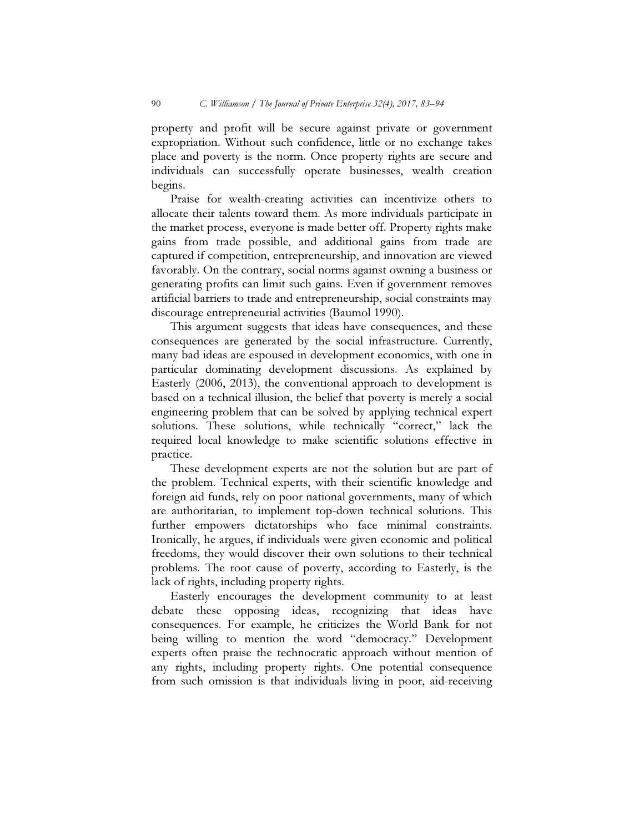property and profit will be secure against private or government expropriation. Without such confidence, little or no exchange takes place and poverty is the norm. Once property rights are secure and individuals can successfully operate businesses, wealth creation begins.

Praise for wealth-creating activities can incentivize others to allocate their talents toward them. As more individuals participate in the market process, everyone is made better off. Property rights make gains from trade possible, and additional gains from trade are captured if competition, entrepreneurship, and innovation are viewed favorably. On the contrary, social norms against owning a business or generating profits can limit such gains. Even if government removes artificial barriers to trade and entrepreneurship, social constraints may discourage entrepreneurial activities (Baumol 1990).

This argument suggests that ideas have consequences, and these consequences are generated by the social infrastructure. Currently, many bad ideas are espoused in development economics, with one in particular dominating development discussions. As explained by Easterly (2006, 2013), the conventional approach to development is based on a technical illusion, the belief that poverty is merely a social engineering problem that can be solved by applying technical expert solutions. These solutions, while technically "correct," lack the required local knowledge to make scientific solutions effective in practice.

These development experts are not the solution but are part of the problem. Technical experts, with their scientific knowledge and foreign aid funds, rely on poor national governments, many of which are authoritarian, to implement top-down technical solutions. This further empowers dictatorships who face minimal constraints. Ironically, he argues, if individuals were given economic and political freedoms, they would discover their own solutions to their technical problems. The root cause of poverty, according to Easterly, is the lack of rights, including property rights.

Easterly encourages the development community to at least debate these opposing ideas, recognizing that ideas have consequences. For example, he criticizes the World Bank for not being willing to mention the word "democracy." Development experts often praise the technocratic approach without mention of any rights, including property rights. One potential consequence from such omission is that individuals living in poor, aid-receiving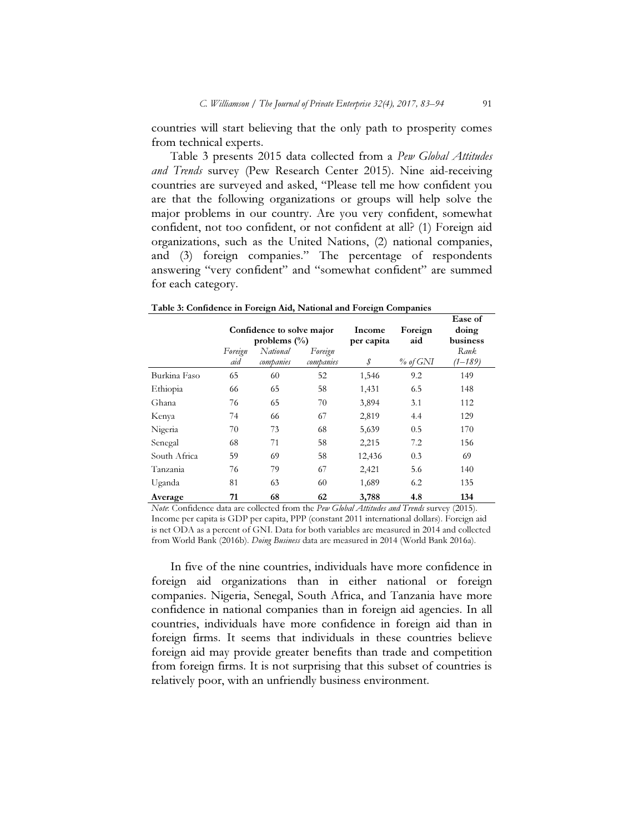countries will start believing that the only path to prosperity comes from technical experts.

Table 3 presents 2015 data collected from a Pew Global Attitudes and Trends survey (Pew Research Center 2015). Nine aid-receiving countries are surveyed and asked, "Please tell me how confident you are that the following organizations or groups will help solve the major problems in our country. Are you very confident, somewhat confident, not too confident, or not confident at all? (1) Foreign aid organizations, such as the United Nations, (2) national companies, and (3) foreign companies." The percentage of respondents answering "very confident" and "somewhat confident" are summed for each category.

|              |                | Confidence to solve major<br>problems $(\% )$ |                      | Income<br>per capita | Foreign<br>aid | Ease of<br>doing<br>business |
|--------------|----------------|-----------------------------------------------|----------------------|----------------------|----------------|------------------------------|
|              | Foreign<br>aid | National<br>companies                         | Foreign<br>companies | \$                   | $%$ of GNI     | Rank<br>(1–189)              |
| Burkina Faso | 65             | 60                                            | 52                   | 1,546                | 9.2            | 149                          |
| Ethiopia     | 66             | 65                                            | 58                   | 1,431                | 6.5            | 148                          |
| Ghana        | 76             | 65                                            | 70                   | 3,894                | 3.1            | 112                          |
| Kenya        | 74             | 66                                            | 67                   | 2,819                | 4.4            | 129                          |
| Nigeria      | 70             | 73                                            | 68                   | 5,639                | 0.5            | 170                          |
| Senegal      | 68             | 71                                            | 58                   | 2,215                | 7.2            | 156                          |
| South Africa | 59             | 69                                            | 58                   | 12,436               | 0.3            | 69                           |
| Tanzania     | 76             | 79                                            | 67                   | 2,421                | 5.6            | 140                          |
| Uganda       | 81             | 63                                            | 60                   | 1,689                | 6.2            | 135                          |
| Average      | 71             | 68                                            | 62                   | 3,788                | 4.8            | 134                          |

Table 3: Confidence in Foreign Aid, National and Foreign Companies

Note: Confidence data are collected from the Pew Global Attitudes and Trends survey (2015). Income per capita is GDP per capita, PPP (constant 2011 international dollars). Foreign aid is net ODA as a percent of GNI. Data for both variables are measured in 2014 and collected from World Bank (2016b). *Doing Business* data are measured in 2014 (World Bank 2016a).

In five of the nine countries, individuals have more confidence in foreign aid organizations than in either national or foreign companies. Nigeria, Senegal, South Africa, and Tanzania have more confidence in national companies than in foreign aid agencies. In all countries, individuals have more confidence in foreign aid than in foreign firms. It seems that individuals in these countries believe foreign aid may provide greater benefits than trade and competition from foreign firms. It is not surprising that this subset of countries is relatively poor, with an unfriendly business environment.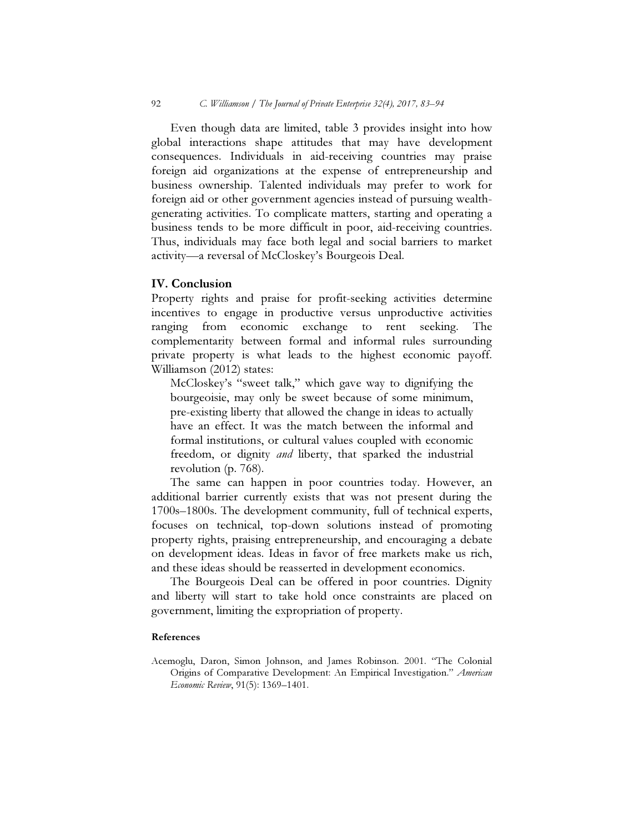Even though data are limited, table 3 provides insight into how global interactions shape attitudes that may have development consequences. Individuals in aid-receiving countries may praise foreign aid organizations at the expense of entrepreneurship and business ownership. Talented individuals may prefer to work for foreign aid or other government agencies instead of pursuing wealthgenerating activities. To complicate matters, starting and operating a business tends to be more difficult in poor, aid-receiving countries. Thus, individuals may face both legal and social barriers to market activity—a reversal of McCloskey's Bourgeois Deal.

#### IV. Conclusion

Property rights and praise for profit-seeking activities determine incentives to engage in productive versus unproductive activities ranging from economic exchange to rent seeking. The complementarity between formal and informal rules surrounding private property is what leads to the highest economic payoff. Williamson (2012) states:

McCloskey's "sweet talk," which gave way to dignifying the bourgeoisie, may only be sweet because of some minimum, pre-existing liberty that allowed the change in ideas to actually have an effect. It was the match between the informal and formal institutions, or cultural values coupled with economic freedom, or dignity and liberty, that sparked the industrial revolution (p. 768).

The same can happen in poor countries today. However, an additional barrier currently exists that was not present during the 1700s–1800s. The development community, full of technical experts, focuses on technical, top-down solutions instead of promoting property rights, praising entrepreneurship, and encouraging a debate on development ideas. Ideas in favor of free markets make us rich, and these ideas should be reasserted in development economics.

The Bourgeois Deal can be offered in poor countries. Dignity and liberty will start to take hold once constraints are placed on government, limiting the expropriation of property.

#### References

Acemoglu, Daron, Simon Johnson, and James Robinson. 2001. "The Colonial Origins of Comparative Development: An Empirical Investigation." American Economic Review, 91(5): 1369–1401.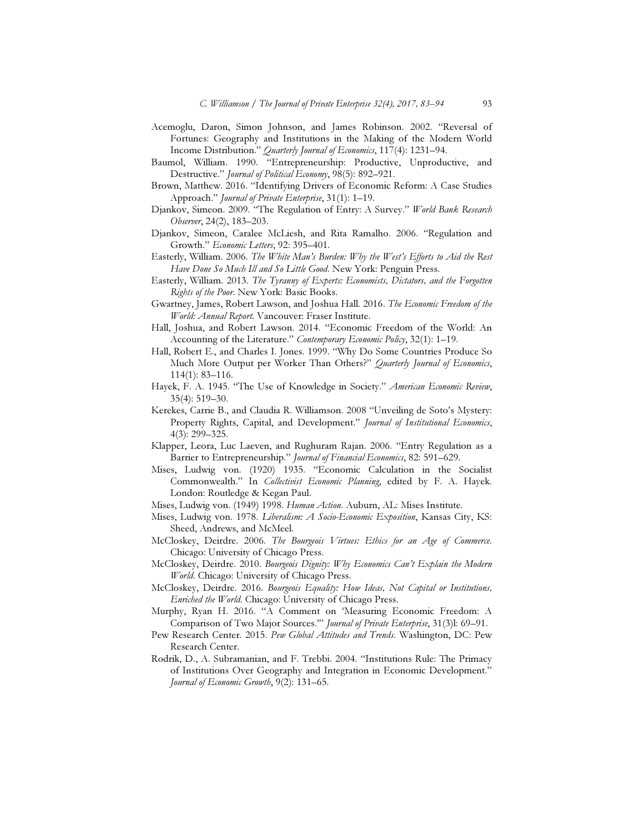- Acemoglu, Daron, Simon Johnson, and James Robinson. 2002. "Reversal of Fortunes: Geography and Institutions in the Making of the Modern World Income Distribution." *Quarterly Journal of Economics*, 117(4): 1231–94.
- Baumol, William. 1990. "Entrepreneurship: Productive, Unproductive, and Destructive." Journal of Political Economy, 98(5): 892–921.
- Brown, Matthew. 2016. "Identifying Drivers of Economic Reform: A Case Studies Approach." Journal of Private Enterprise, 31(1): 1-19.
- Djankov, Simeon. 2009. "The Regulation of Entry: A Survey." World Bank Research Observer, 24(2), 183–203.
- Djankov, Simeon, Caralee McLiesh, and Rita Ramalho. 2006. "Regulation and Growth." Economic Letters, 92: 395–401.
- Easterly, William. 2006. The White Man's Burden: Why the West's Efforts to Aid the Rest Have Done So Much Ill and So Little Good. New York: Penguin Press.
- Easterly, William. 2013. The Tyranny of Experts: Economists, Dictators, and the Forgotten Rights of the Poor. New York: Basic Books.
- Gwartney, James, Robert Lawson, and Joshua Hall. 2016. The Economic Freedom of the World: Annual Report. Vancouver: Fraser Institute.
- Hall, Joshua, and Robert Lawson. 2014. "Economic Freedom of the World: An Accounting of the Literature." Contemporary Economic Policy, 32(1): 1-19.
- Hall, Robert E., and Charles I. Jones. 1999. "Why Do Some Countries Produce So Much More Output per Worker Than Others?" Quarterly Journal of Economics, 114(1): 83–116.
- Hayek, F. A. 1945. "The Use of Knowledge in Society." American Economic Review, 35(4): 519–30.
- Kerekes, Carrie B., and Claudia R. Williamson. 2008 "Unveiling de Soto's Mystery: Property Rights, Capital, and Development." Journal of Institutional Economics, 4(3): 299–325.
- Klapper, Leora, Luc Laeven, and Rughuram Rajan. 2006. "Entry Regulation as a Barrier to Entrepreneurship." Journal of Financial Economics, 82: 591-629.
- Mises, Ludwig von. (1920) 1935. "Economic Calculation in the Socialist Commonwealth." In Collectivist Economic Planning, edited by F. A. Hayek. London: Routledge & Kegan Paul.
- Mises, Ludwig von. (1949) 1998. Human Action. Auburn, AL: Mises Institute.
- Mises, Ludwig von. 1978. Liberalism: A Socio-Economic Exposition, Kansas City, KS: Sheed, Andrews, and McMeel.
- McCloskey, Deirdre. 2006. The Bourgeois Virtues: Ethics for an Age of Commerce. Chicago: University of Chicago Press.
- McCloskey, Deirdre. 2010. Bourgeois Dignity: Why Economics Can't Explain the Modern World. Chicago: University of Chicago Press.
- McCloskey, Deirdre. 2016. Bourgeois Equality: How Ideas, Not Capital or Institutions, Enriched the World. Chicago: University of Chicago Press.
- Murphy, Ryan H. 2016. "A Comment on 'Measuring Economic Freedom: A Comparison of Two Major Sources.'" Journal of Private Enterprise, 31(3)l: 69–91.
- Pew Research Center. 2015. Pew Global Attitudes and Trends. Washington, DC: Pew Research Center.
- Rodrik, D., A. Subramanian, and F. Trebbi. 2004. "Institutions Rule: The Primacy of Institutions Over Geography and Integration in Economic Development." Journal of Economic Growth, 9(2): 131–65.